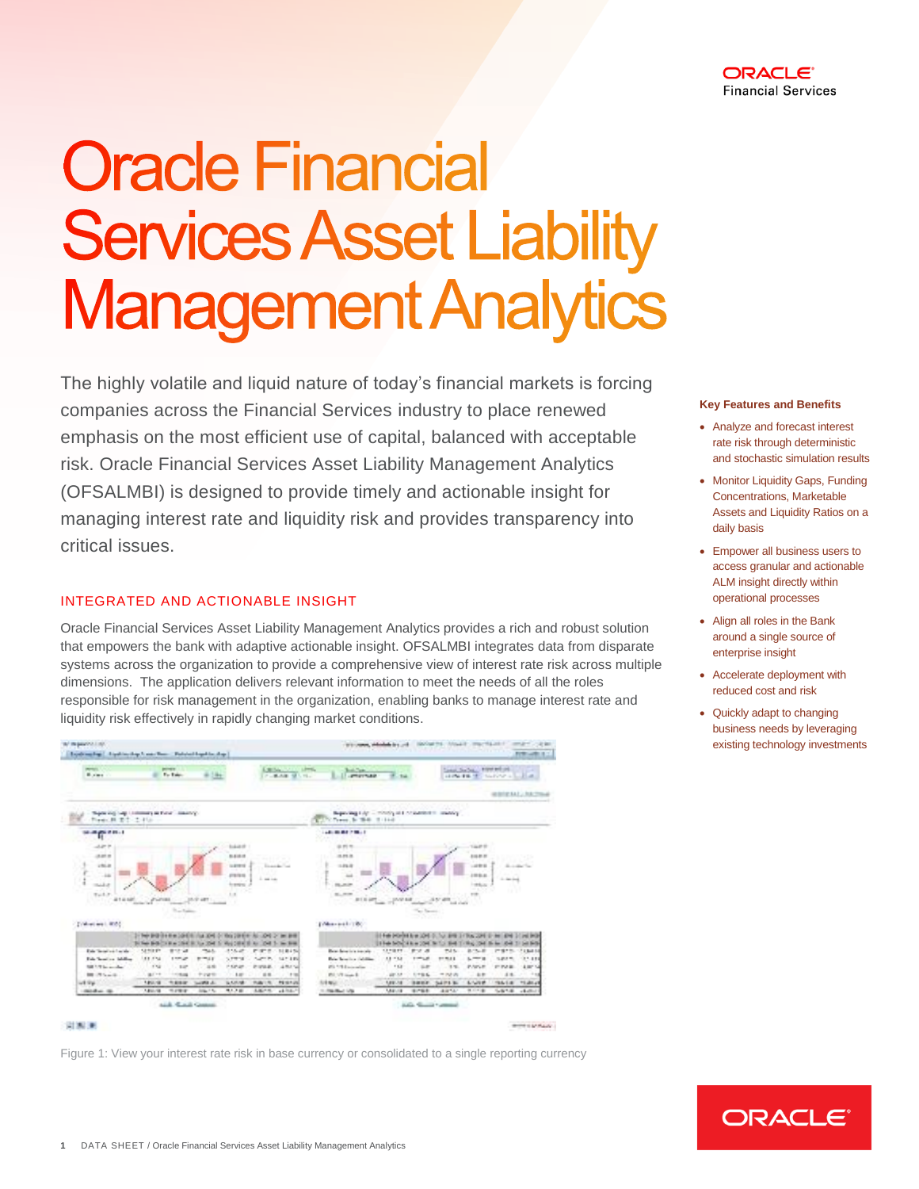

# **Oracle Financial Services Asset Liability Management Analytics**

The highly volatile and liquid nature of today's financial markets is forcing companies across the Financial Services industry to place renewed emphasis on the most efficient use of capital, balanced with acceptable risk. Oracle Financial Services Asset Liability Management Analytics (OFSALMBI) is designed to provide timely and actionable insight for managing interest rate and liquidity risk and provides transparency into critical issues.

## INTEGRATED AND ACTIONABLE INSIGHT

Oracle Financial Services Asset Liability Management Analytics provides a rich and robust solution that empowers the bank with adaptive actionable insight. OFSALMBI integrates data from disparate systems across the organization to provide a comprehensive view of interest rate risk across multiple dimensions. The application delivers relevant information to meet the needs of all the roles responsible for risk management in the organization, enabling banks to manage interest rate and liquidity risk effectively in rapidly changing market conditions.



Figure 1: View your interest rate risk in base currency or consolidated to a single reporting currency

#### **Key Features and Benefits**

- Analyze and forecast interest rate risk through deterministic and stochastic simulation results
- Monitor Liquidity Gaps, Funding Concentrations, Marketable Assets and Liquidity Ratios on a daily basis
- Empower all business users to access granular and actionable ALM insight directly within operational processes
- Align all roles in the Bank around a single source of enterprise insight
- Accelerate deployment with reduced cost and risk
- Quickly adapt to changing business needs by leveraging existing technology investments

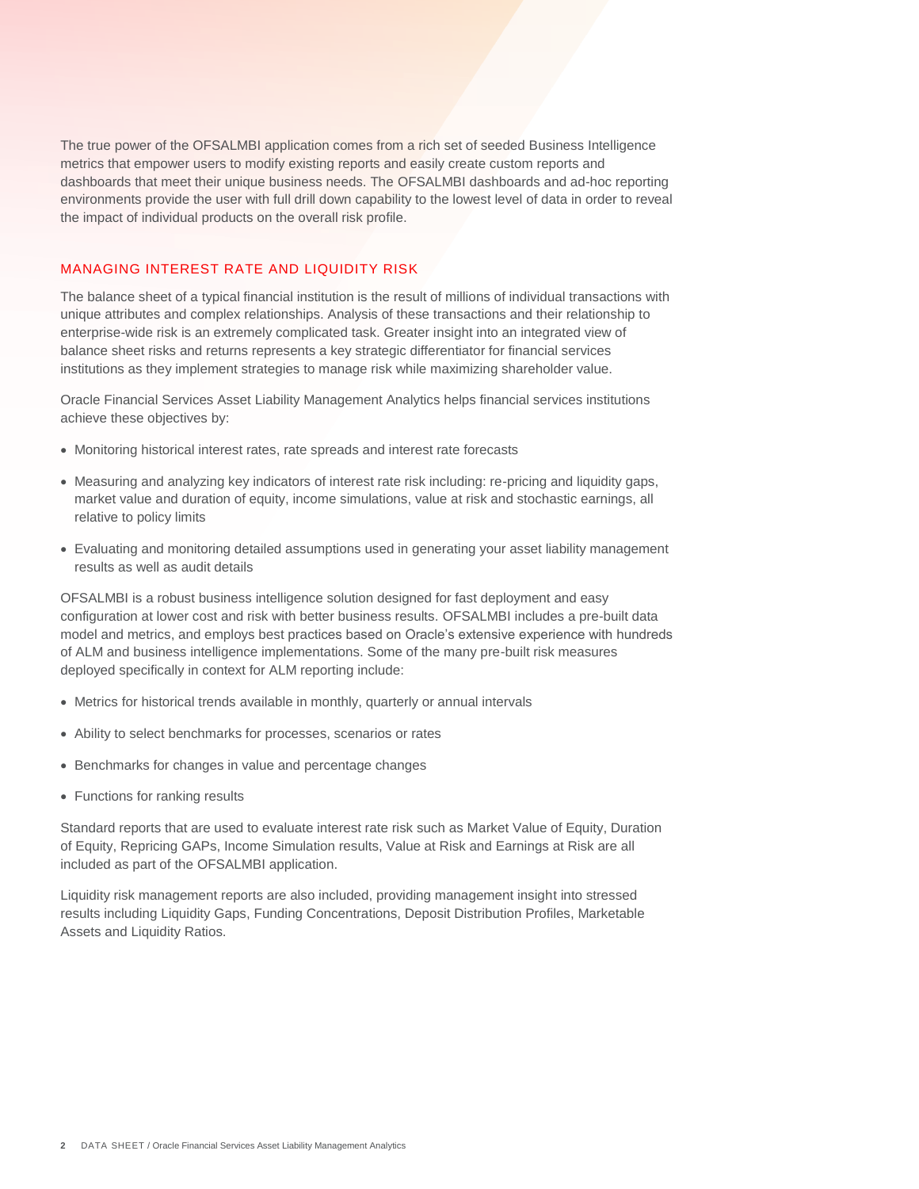The true power of the OFSALMBI application comes from a rich set of seeded Business Intelligence metrics that empower users to modify existing reports and easily create custom reports and dashboards that meet their unique business needs. The OFSALMBI dashboards and ad-hoc reporting environments provide the user with full drill down capability to the lowest level of data in order to reveal the impact of individual products on the overall risk profile.

## MANAGING INTEREST RATE AND LIQUIDITY RISK

The balance sheet of a typical financial institution is the result of millions of individual transactions with unique attributes and complex relationships. Analysis of these transactions and their relationship to enterprise-wide risk is an extremely complicated task. Greater insight into an integrated view of balance sheet risks and returns represents a key strategic differentiator for financial services institutions as they implement strategies to manage risk while maximizing shareholder value.

Oracle Financial Services Asset Liability Management Analytics helps financial services institutions achieve these objectives by:

- Monitoring historical interest rates, rate spreads and interest rate forecasts
- Measuring and analyzing key indicators of interest rate risk including: re-pricing and liquidity gaps, market value and duration of equity, income simulations, value at risk and stochastic earnings, all relative to policy limits
- Evaluating and monitoring detailed assumptions used in generating your asset liability management results as well as audit details

OFSALMBI is a robust business intelligence solution designed for fast deployment and easy configuration at lower cost and risk with better business results. OFSALMBI includes a pre-built data model and metrics, and employs best practices based on Oracle's extensive experience with hundreds of ALM and business intelligence implementations. Some of the many pre-built risk measures deployed specifically in context for ALM reporting include:

- Metrics for historical trends available in monthly, quarterly or annual intervals
- Ability to select benchmarks for processes, scenarios or rates
- Benchmarks for changes in value and percentage changes
- Functions for ranking results

Standard reports that are used to evaluate interest rate risk such as Market Value of Equity, Duration of Equity, Repricing GAPs, Income Simulation results, Value at Risk and Earnings at Risk are all included as part of the OFSALMBI application.

Liquidity risk management reports are also included, providing management insight into stressed results including Liquidity Gaps, Funding Concentrations, Deposit Distribution Profiles, Marketable Assets and Liquidity Ratios.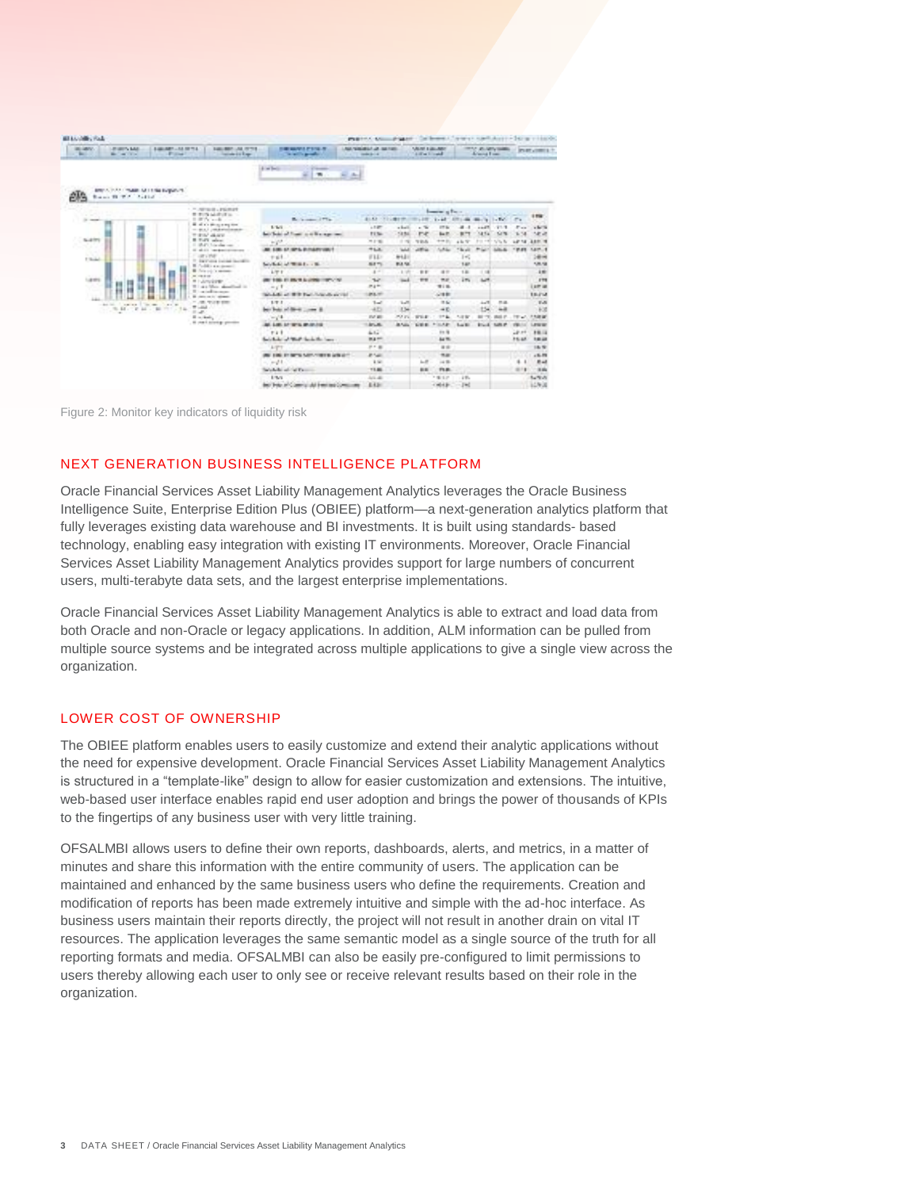| <b>MO GRAY</b><br><b>JESSEY, LAS</b><br>$-100$<br><b>British Corp.</b>                                                                                                                                                                                                    | <b>SALEMAN ALL INCHES</b><br><b><i>BANGARY LAS METLA</i></b><br><b>COLLEGE</b><br><b>Latings 21 Exp.</b> | <b><i>SHEMANA PAIN R</i></b><br>in will a greater                                             | <b>NATIONAL AVE AN INFORMATION</b><br><b>Contact British</b> |                                                      | <b>USING A GALLAND</b><br>All a local |             |          | <b>HEAT US ARRAIGNEED</b><br>Arlenton France |                  |                      | <b>INVESTIGATION</b> |
|---------------------------------------------------------------------------------------------------------------------------------------------------------------------------------------------------------------------------------------------------------------------------|----------------------------------------------------------------------------------------------------------|-----------------------------------------------------------------------------------------------|--------------------------------------------------------------|------------------------------------------------------|---------------------------------------|-------------|----------|----------------------------------------------|------------------|----------------------|----------------------|
| AND A 27YO FEMALE AT LCDA EXPANSIVE<br>Branch W. W. P. Auditect                                                                                                                                                                                                           |                                                                                                          | All and Seattle<br>The State State<br>ar I<br>$\mathbf{r}$<br><b>COLLANS</b><br>$\frac{1}{2}$ |                                                              |                                                      |                                       |             |          |                                              |                  |                      |                      |
|                                                                                                                                                                                                                                                                           | - - reverse present<br>the streets and other the co-                                                     |                                                                                               | from a face                                                  |                                                      |                                       |             |          |                                              |                  |                      |                      |
| <b>Contract</b><br>SLETTI<br>T South<br>1,4191<br><b>START</b><br>ia.<br>the bit of course. The same from the<br>$\label{eq:1.1} \mathcal{H}^{(1)}(X) = \mathcal{H}^{(1)}(X) = \mathcal{H}^{(1)}(X) = \mathcal{H}^{(1)}(X) = \mathcal{H}^{(1)}(X) = \mathcal{H}^{(1)}(X)$ | UPWeek co-                                                                                               | Britannian (PTs)                                                                              | \$1.53 - 111-2 \$1.000 (100) 2.000                           |                                                      |                                       | $1 - 28$    | 271.44   | <b>Birth 1-700</b>                           |                  | <b>Pa</b>            | 119                  |
|                                                                                                                                                                                                                                                                           | <b>B</b> of a's divergency line.<br>$-$ 40.4.1 , with deterministic and                                  | 5.5/2                                                                                         | 1.147                                                        | $n$ Radii                                            | $-76$                                 | 128         | a        | 14.47                                        | 19178            | ٠<br><b>ALCOHOL:</b> | 16.74                |
|                                                                                                                                                                                                                                                                           | THE GALLERY                                                                                              | but below them in a line age can                                                              | TT <sub>N</sub>                                              | 14.54                                                | <b>TV</b>                             |             | ٠        |                                              | $\sim$           |                      | 14.2                 |
|                                                                                                                                                                                                                                                                           | <b>B. Fully, advert-</b><br>11 MAP Chinesian com-                                                        | 2P                                                                                            | <b>HITE</b>                                                  | $\frac{1}{2} \left( \frac{1}{2} \frac{1}{2} \right)$ | 学部系                                   | $+ 0.01$    | 45.7     | <b>Brookly</b>                               | N/S N            | 141.14               | 339.18               |
|                                                                                                                                                                                                                                                                           | of about temperatures are                                                                                | All calls on and including and                                                                | <b>HLK</b>                                                   | <b>Wed</b>                                           | <b>LITTLE</b>                         | <b>LALL</b> | " le als | ۰                                            | <b>SAN ALL</b>   | $-19.81$             | 1417.1               |
|                                                                                                                                                                                                                                                                           | Consider 11<br>T. Secreta includ laurable                                                                | $-1.1$                                                                                        | FLD                                                          | 44.01                                                |                                       |             | 14       |                                              |                  |                      | 1499                 |
|                                                                                                                                                                                                                                                                           | B. Colding and depart-                                                                                   | Service of Winds to                                                                           | ALL YOU<br>--                                                | <b><i>BLA NA</i></b>                                 |                                       |             | 1.47     |                                              |                  |                      | 1,81,128             |
|                                                                                                                                                                                                                                                                           | <b>B</b> finite and for excitation<br>as caraca.                                                         | L/P F                                                                                         | $4 -$                                                        | 3.100                                                | <b>DE</b>                             | $n =$       | 1.81     | $-14$                                        |                  |                      | 10 <sup>2</sup>      |
|                                                                                                                                                                                                                                                                           | <b>HILLMOURE</b>                                                                                         | <b>WE THE ELBURN NUMBER OF CASE</b>                                                           | <b>No</b>                                                    | $-1$                                                 | $***$                                 | n x         | 17.      | <b>AM</b>                                    |                  |                      | rms                  |
|                                                                                                                                                                                                                                                                           | William Marc algorithms in<br>The informa-                                                               | $-11$                                                                                         | ma m                                                         |                                                      |                                       | <b>With</b> |          |                                              |                  |                      | Lam at               |
|                                                                                                                                                                                                                                                                           | B date on it "streets                                                                                    | W-Adj at \$15 Each Mandawith                                                                  | \$53,000                                                     |                                                      |                                       | <b>GIBB</b> |          |                                              |                  |                      | 11-714               |
|                                                                                                                                                                                                                                                                           | 1. OR THE ERE<br><b>William</b>                                                                          | 177.2                                                                                         | $T = 1$                                                      | <b>Suff</b>                                          |                                       | 11.62       |          | ALC:                                         | 示法               |                      | $V - N$              |
|                                                                                                                                                                                                                                                                           | $27 - 27$                                                                                                | ber but at their<br>$-$                                                                       | 4D                                                           | 134                                                  |                                       | 40          |          | 154                                          | $-1$             |                      | <b>Kd</b>            |
|                                                                                                                                                                                                                                                                           | Il contacto a                                                                                            | $-14$                                                                                         | <b>Full Mill</b>                                             | 25.000                                               | <b>WEA</b>                            | 115         | 5.0 W    | $\mathbf{m}$                                 | <b>WARD OF</b>   | ÷<br>$\sim$          | 110.00               |
|                                                                                                                                                                                                                                                                           | it can't scoring province                                                                                | ALC: A 495, A 47 YEAR OLD AND A 69-                                                           | <b>TURNER</b>                                                | <b>BASE</b>                                          | <b>SHOW:</b>                          | POLAR       | La El    |                                              | <b>Brief SMP</b> | <b>CRE</b>           | Lescur               |
|                                                                                                                                                                                                                                                                           |                                                                                                          | $P$ at $R$                                                                                    | 4.1.7                                                        |                                                      |                                       | 49.76       |          |                                              |                  | 18.00                | 14.14                |
|                                                                                                                                                                                                                                                                           |                                                                                                          | facilitate of the Polanda for Lan-                                                            | <b>BAME</b>                                                  |                                                      |                                       | A4 19.      |          |                                              |                  | 75.58                | <b>THE ARE</b>       |
|                                                                                                                                                                                                                                                                           |                                                                                                          | A/PT                                                                                          | $19.5 - 10$                                                  |                                                      |                                       | 111         |          |                                              |                  |                      | 18.19                |
|                                                                                                                                                                                                                                                                           |                                                                                                          | WE THE RESIDENCE AND CONTROL WINDS.                                                           | <b>PAR</b>                                                   |                                                      |                                       | 19.00       |          |                                              |                  |                      | 15.78                |
|                                                                                                                                                                                                                                                                           |                                                                                                          | $-11$                                                                                         | 8.50                                                         |                                                      | $1 - 27$                              | $-4.56$     |          |                                              |                  | ٠                    | EL AL                |
|                                                                                                                                                                                                                                                                           |                                                                                                          | betwhether and that the co-                                                                   | 11.86                                                        |                                                      | <b>BB</b>                             | rus.        |          |                                              |                  | $-1114$              | 19.9%                |
|                                                                                                                                                                                                                                                                           |                                                                                                          | \$19.00                                                                                       | $1/4$ 40                                                     |                                                      |                                       | 1812        | $2.9\%$  |                                              |                  |                      | 1,700                |
|                                                                                                                                                                                                                                                                           |                                                                                                          | but below in Contract did bent and Contra-                                                    | E.K.DI                                                       |                                                      |                                       | $-4648$     | $1 - 1$  |                                              |                  |                      | 14,908               |

Figure 2: Monitor key indicators of liquidity risk

# NEXT GENERATION BUSINESS INTELLIGENCE PLATFORM

Oracle Financial Services Asset Liability Management Analytics leverages the Oracle Business Intelligence Suite, Enterprise Edition Plus (OBIEE) platform—a next-generation analytics platform that fully leverages existing data warehouse and BI investments. It is built using standards- based technology, enabling easy integration with existing IT environments. Moreover, Oracle Financial Services Asset Liability Management Analytics provides support for large numbers of concurrent users, multi-terabyte data sets, and the largest enterprise implementations.

Oracle Financial Services Asset Liability Management Analytics is able to extract and load data from both Oracle and non-Oracle or legacy applications. In addition, ALM information can be pulled from multiple source systems and be integrated across multiple applications to give a single view across the organization.

## LOWER COST OF OWNERSHIP

The OBIEE platform enables users to easily customize and extend their analytic applications without the need for expensive development. Oracle Financial Services Asset Liability Management Analytics is structured in a "template-like" design to allow for easier customization and extensions. The intuitive, web-based user interface enables rapid end user adoption and brings the power of thousands of KPIs to the fingertips of any business user with very little training.

OFSALMBI allows users to define their own reports, dashboards, alerts, and metrics, in a matter of minutes and share this information with the entire community of users. The application can be maintained and enhanced by the same business users who define the requirements. Creation and modification of reports has been made extremely intuitive and simple with the ad-hoc interface. As business users maintain their reports directly, the project will not result in another drain on vital IT resources. The application leverages the same semantic model as a single source of the truth for all reporting formats and media. OFSALMBI can also be easily pre-configured to limit permissions to users thereby allowing each user to only see or receive relevant results based on their role in the organization.